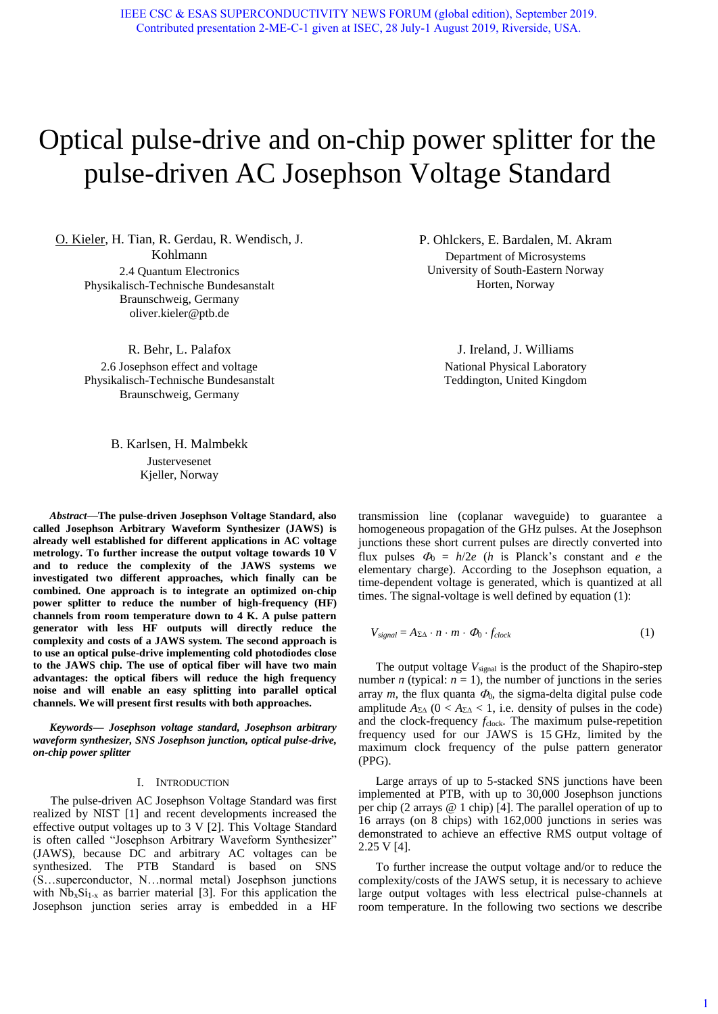# Optical pulse-drive and on-chip power splitter for the pulse-driven AC Josephson Voltage Standard

O. Kieler, H. Tian, R. Gerdau, R. Wendisch, J. Kohlmann 2.4 Quantum Electronics Physikalisch-Technische Bundesanstalt Braunschweig, Germany oliver.kieler@ptb.de

> R. Behr, L. Palafox 2.6 Josephson effect and voltage Physikalisch-Technische Bundesanstalt Braunschweig, Germany

> > B. Karlsen, H. Malmbekk Justervesenet Kjeller, Norway

*Abstract***—The pulse-driven Josephson Voltage Standard, also called Josephson Arbitrary Waveform Synthesizer (JAWS) is already well established for different applications in AC voltage metrology. To further increase the output voltage towards 10 V and to reduce the complexity of the JAWS systems we investigated two different approaches, which finally can be combined. One approach is to integrate an optimized on-chip power splitter to reduce the number of high-frequency (HF) channels from room temperature down to 4 K. A pulse pattern generator with less HF outputs will directly reduce the complexity and costs of a JAWS system. The second approach is to use an optical pulse-drive implementing cold photodiodes close to the JAWS chip. The use of optical fiber will have two main advantages: the optical fibers will reduce the high frequency noise and will enable an easy splitting into parallel optical channels. We will present first results with both approaches.** 

*Keywords— Josephson voltage standard, Josephson arbitrary waveform synthesizer, SNS Josephson junction, optical pulse-drive, on-chip power splitter*

## I. INTRODUCTION

The pulse-driven AC Josephson Voltage Standard was first realized by NIST [\[1\]](#page-2-0) and recent developments increased the effective output voltages up to 3 V [\[2\].](#page-2-1) This Voltage Standard is often called "Josephson Arbitrary Waveform Synthesizer" (JAWS), because DC and arbitrary AC voltages can be synthesized. The PTB Standard is based on SNS (S…superconductor, N…normal metal) Josephson junctions with  $Nb_xSi_{1-x}$  as barrier material [\[3\].](#page-2-2) For this application the Josephson junction series array is embedded in a HF P. Ohlckers, E. Bardalen, M. Akram Department of Microsystems University of South-Eastern Norway Horten, Norway

> J. Ireland, J. Williams National Physical Laboratory Teddington, United Kingdom

transmission line (coplanar waveguide) to guarantee a homogeneous propagation of the GHz pulses. At the Josephson junctions these short current pulses are directly converted into flux pulses  $\Phi_0 = h/2e$  (*h* is Planck's constant and *e* the elementary charge). According to the Josephson equation, a time-dependent voltage is generated, which is quantized at all times. The signal-voltage is well defined by equation (1):

$$
V_{signal} = A_{\Sigma\Delta} \cdot n \cdot m \cdot \Phi_0 \cdot f_{clock}
$$
 (1)

The output voltage  $V_{signal}$  is the product of the Shapiro-step number *n* (typical:  $n = 1$ ), the number of junctions in the series array  $m$ , the flux quanta  $\Phi_0$ , the sigma-delta digital pulse code amplitude  $A_{\Sigma\Lambda}$  ( $0 < A_{\Sigma\Lambda} < 1$ , i.e. density of pulses in the code) and the clock-frequency *f*<sub>clock</sub>. The maximum pulse-repetition frequency used for our JAWS is 15 GHz, limited by the maximum clock frequency of the pulse pattern generator (PPG).

Large arrays of up to 5-stacked SNS junctions have been implemented at PTB, with up to 30,000 Josephson junctions per chip (2 arrays @ 1 chip) [\[4\].](#page-2-3) The parallel operation of up to 16 arrays (on 8 chips) with 162,000 junctions in series was demonstrated to achieve an effective RMS output voltage of 2.25 V [\[4\].](#page-2-3) 

To further increase the output voltage and/or to reduce the complexity/costs of the JAWS setup, it is necessary to achieve large output voltages with less electrical pulse-channels at room temperature. In the following two sections we describe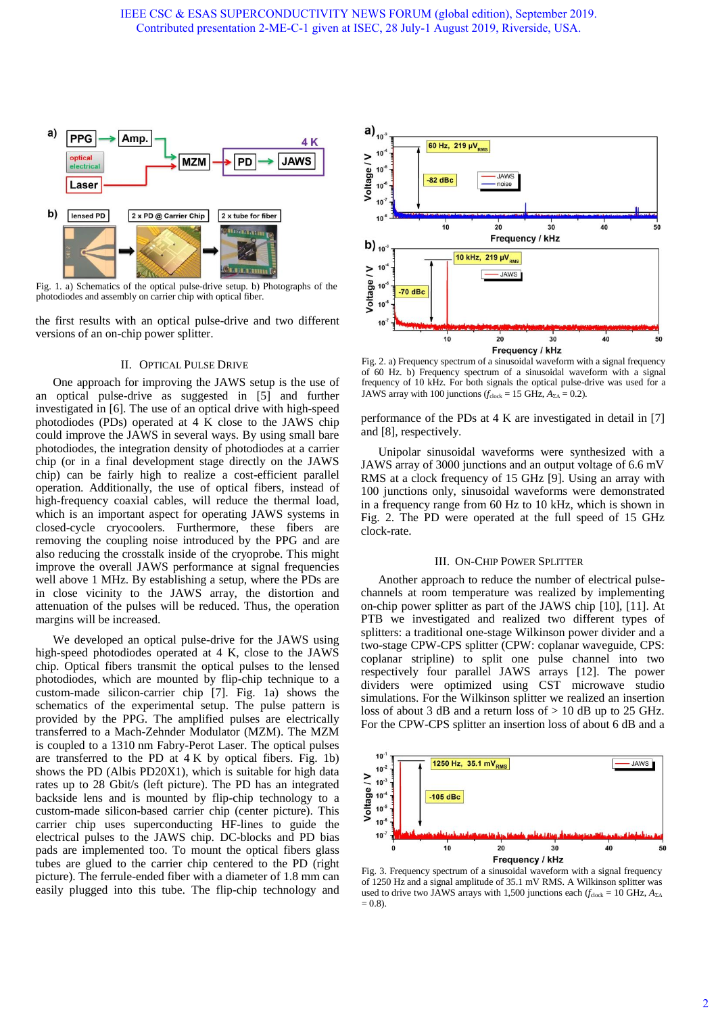

Fig. 1. a) Schematics of the optical pulse-drive setup. b) Photographs of the photodiodes and assembly on carrier chip with optical fiber.

the first results with an optical pulse-drive and two different versions of an on-chip power splitter.

## II. OPTICAL PULSE DRIVE

One approach for improving the JAWS setup is the use of an optical pulse-drive as suggested in [\[5\]](#page-2-4) and further investigated in [\[6\].](#page-2-5) The use of an optical drive with high-speed photodiodes (PDs) operated at 4 K close to the JAWS chip could improve the JAWS in several ways. By using small bare photodiodes, the integration density of photodiodes at a carrier chip (or in a final development stage directly on the JAWS chip) can be fairly high to realize a cost-efficient parallel operation. Additionally, the use of optical fibers, instead of high-frequency coaxial cables, will reduce the thermal load, which is an important aspect for operating JAWS systems in closed-cycle cryocoolers. Furthermore, these fibers are removing the coupling noise introduced by the PPG and are also reducing the crosstalk inside of the cryoprobe. This might improve the overall JAWS performance at signal frequencies well above 1 MHz. By establishing a setup, where the PDs are in close vicinity to the JAWS array, the distortion and attenuation of the pulses will be reduced. Thus, the operation margins will be increased.

We developed an optical pulse-drive for the JAWS using high-speed photodiodes operated at 4 K, close to the JAWS chip. Optical fibers transmit the optical pulses to the lensed photodiodes, which are mounted by flip-chip technique to a custom-made silicon-carrier chip [\[7\].](#page-2-6) Fig. 1a) shows the schematics of the experimental setup. The pulse pattern is provided by the PPG. The amplified pulses are electrically transferred to a Mach-Zehnder Modulator (MZM). The MZM is coupled to a 1310 nm Fabry-Perot Laser. The optical pulses are transferred to the PD at  $4 K$  by optical fibers. Fig. 1b) shows the PD (Albis PD20X1), which is suitable for high data rates up to 28 Gbit/s (left picture). The PD has an integrated backside lens and is mounted by flip-chip technology to a custom-made silicon-based carrier chip (center picture). This carrier chip uses superconducting HF-lines to guide the electrical pulses to the JAWS chip. DC-blocks and PD bias pads are implemented too. To mount the optical fibers glass tubes are glued to the carrier chip centered to the PD (right picture). The ferrule-ended fiber with a diameter of 1.8 mm can easily plugged into this tube. The flip-chip technology and



Fig. 2. a) Frequency spectrum of a sinusoidal waveform with a signal frequency of 60 Hz. b) Frequency spectrum of a sinusoidal waveform with a signal frequency of 10 kHz. For both signals the optical pulse-drive was used for a JAWS array with 100 junctions  $(f_{clock} = 15 \text{ GHz}, A_{\Sigma\Delta} = 0.2)$ .

performance of the PDs at 4 K are investigated in detail in [\[7\]](#page-2-6) and [\[8\],](#page-2-7) respectively.

Unipolar sinusoidal waveforms were synthesized with a JAWS array of 3000 junctions and an output voltage of 6.6 mV RMS at a clock frequency of 15 GHz [\[9\].](#page-2-8) Using an array with 100 junctions only, sinusoidal waveforms were demonstrated in a frequency range from 60 Hz to 10 kHz, which is shown in Fig. 2. The PD were operated at the full speed of 15 GHz clock-rate.

### III. ON-CHIP POWER SPLITTER

Another approach to reduce the number of electrical pulsechannels at room temperature was realized by implementing on-chip power splitter as part of the JAWS chip [\[10\],](#page-2-9) [\[11\].](#page-2-10) At PTB we investigated and realized two different types of splitters: a traditional one-stage Wilkinson power divider and a two-stage CPW-CPS splitter (CPW: coplanar waveguide, CPS: coplanar stripline) to split one pulse channel into two respectively four parallel JAWS arrays [\[12\].](#page-2-11) The power dividers were optimized using CST microwave studio simulations. For the Wilkinson splitter we realized an insertion loss of about 3 dB and a return loss of  $> 10$  dB up to 25 GHz. For the CPW-CPS splitter an insertion loss of about 6 dB and a



Fig. 3. Frequency spectrum of a sinusoidal waveform with a signal frequency of 1250 Hz and a signal amplitude of 35.1 mV RMS. A Wilkinson splitter was used to drive two JAWS arrays with 1,500 junctions each ( $f_{\text{clock}} = 10 \text{ GHz}, A_{\Sigma\Delta}$  $= 0.8$ ).